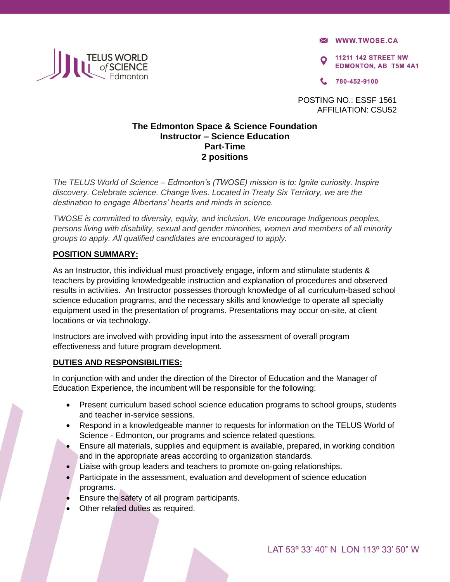**X WWW.TWOSE.CA** 

**11211 142 STREET NW EDMONTON, AB T5M 4A1** 

780-452-9100

POSTING NO.: ESSF 1561 AFFILIATION: CSU52

## **The Edmonton Space & Science Foundation Instructor – Science Education Part-Time 2 positions**

*The TELUS World of Science – Edmonton's (TWOSE) mission is to: Ignite curiosity. Inspire discovery. Celebrate science. Change lives. Located in Treaty Six Territory, we are the destination to engage Albertans' hearts and minds in science.* 

*TWOSE is committed to diversity, equity, and inclusion. We encourage Indigenous peoples, persons living with disability, sexual and gender minorities, women and members of all minority groups to apply. All qualified candidates are encouraged to apply.* 

## **POSITION SUMMARY:**

**TELUS WORLD**<br>**I** Of SCIENCE

As an Instructor, this individual must proactively engage, inform and stimulate students & teachers by providing knowledgeable instruction and explanation of procedures and observed results in activities. An Instructor possesses thorough knowledge of all curriculum-based school science education programs, and the necessary skills and knowledge to operate all specialty equipment used in the presentation of programs. Presentations may occur on-site, at client locations or via technology.

Instructors are involved with providing input into the assessment of overall program effectiveness and future program development.

### **DUTIES AND RESPONSIBILITIES:**

In conjunction with and under the direction of the Director of Education and the Manager of Education Experience, the incumbent will be responsible for the following:

- Present curriculum based school science education programs to school groups, students and teacher in-service sessions.
- Respond in a knowledgeable manner to requests for information on the TELUS World of Science - Edmonton, our programs and science related questions.
- Ensure all materials, supplies and equipment is available, prepared, in working condition and in the appropriate areas according to organization standards.
- Liaise with group leaders and teachers to promote on-going relationships.
- Participate in the assessment, evaluation and development of science education programs.
- Ensure the safety of all program participants.
- Other related duties as required.